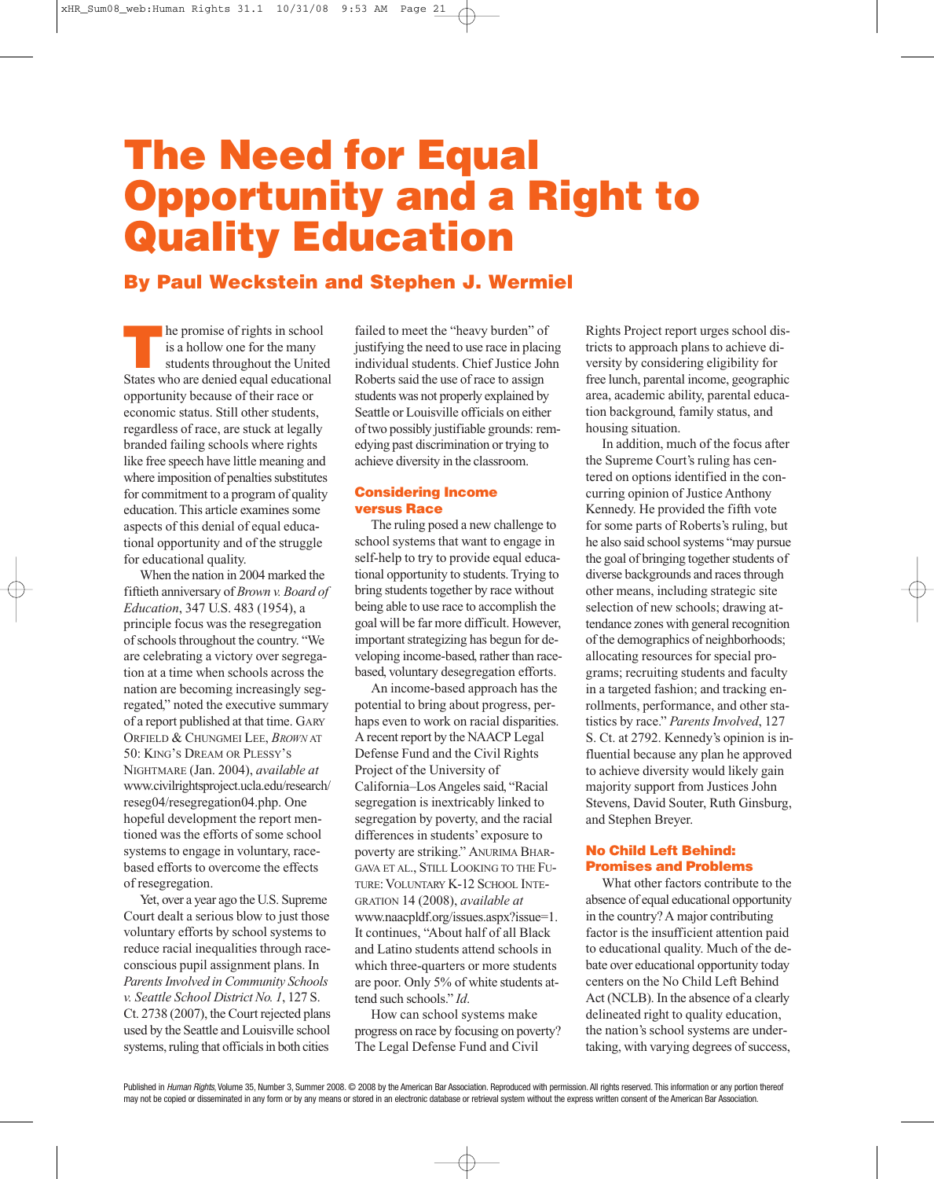# **The Need for Equal Opportunity and a Right to Quality Education**

### **By Paul Weckstein and Stephen J. Wermiel**

**The promise of rights in school**<br>
is a hollow one for the many<br>
students throughout the United<br>
States who are denied equal educational is a hollow one for the many States who are denied equal educational opportunity because of their race or economic status. Still other students, regardless of race, are stuck at legally branded failing schools where rights like free speech have little meaning and where imposition of penalties substitutes for commitment to a program of quality education.This article examines some aspects of this denial of equal educational opportunity and of the struggle for educational quality.

When the nation in 2004 marked the fiftieth anniversary of *Brown v. Board of Education*, 347 U.S. 483 (1954), a principle focus was the resegregation of schools throughout the country. "We are celebrating a victory over segregation at a time when schools across the nation are becoming increasingly segregated," noted the executive summary of a report published at that time. GARY ORFIELD & CHUNGMEI LEE, *BROWN* AT 50: KING'S DREAM OR PLESSY'S NIGHTMARE (Jan. 2004), *available at* www.civilrightsproject.ucla.edu/research/ reseg04/resegregation04.php. One hopeful development the report mentioned was the efforts of some school systems to engage in voluntary, racebased efforts to overcome the effects of resegregation.

Yet, over a year ago the U.S. Supreme Court dealt a serious blow to just those voluntary efforts by school systems to reduce racial inequalities through raceconscious pupil assignment plans. In *ParentsInvolved in Community Schools v. Seattle School District No. 1*, 127 S. Ct. 2738 (2007), the Court rejected plans used by the Seattle and Louisville school systems, ruling that officials in both cities

failed to meet the "heavy burden" of justifying the need to use race in placing individual students. Chief Justice John Roberts said the use of race to assign students was not properly explained by Seattle or Louisville officials on either of two possibly justifiable grounds: remedying past discrimination or trying to achieve diversity in the classroom.

#### **Considering Income versus Race**

The ruling posed a new challenge to school systems that want to engage in self-help to try to provide equal educational opportunity to students.Trying to bring students together by race without being able to use race to accomplish the goal will be far more difficult. However, important strategizing has begun for developing income-based, rather than racebased, voluntary desegregation efforts.

An income-based approach has the potential to bring about progress, perhaps even to work on racial disparities. A recent report by the NAACP Legal Defense Fund and the Civil Rights Project of the University of California–Los Angeles said, "Racial segregation is inextricably linked to segregation by poverty, and the racial differences in students' exposure to poverty are striking." ANURIMA BHAR-GAVA ET AL., STILL LOOKING TO THE FU-TURE:VOLUNTARY K-12 SCHOOL INTE-GRATION 14 (2008), *available at* www.naacpldf.org/issues.aspx?issue=1. It continues, "About half of all Black and Latino students attend schools in which three-quarters or more students are poor. Only 5% of white students attend such schools." *Id*.

How can school systems make progress on race by focusing on poverty? The Legal Defense Fund and Civil

Rights Project report urges school districts to approach plans to achieve diversity by considering eligibility for free lunch, parental income, geographic area, academic ability, parental education background, family status, and housing situation.

In addition, much of the focus after the Supreme Court's ruling has centered on options identified in the concurring opinion of Justice Anthony Kennedy. He provided the fifth vote for some parts of Roberts's ruling, but he also said school systems "may pursue" the goal of bringing together students of diverse backgrounds and races through other means, including strategic site selection of new schools; drawing attendance zones with general recognition of the demographics of neighborhoods; allocating resources for special programs; recruiting students and faculty in a targeted fashion; and tracking enrollments, performance, and other statistics by race." *Parents Involved*, 127 S. Ct. at 2792. Kennedy's opinion is influential because any plan he approved to achieve diversity would likely gain majority support from Justices John Stevens, David Souter, Ruth Ginsburg, and Stephen Breyer.

#### **No Child Left Behind: Promises and Problems**

What other factors contribute to the absence of equal educational opportunity in the country?A major contributing factor is the insufficient attention paid to educational quality. Much of the debate over educational opportunity today centers on the No Child Left Behind Act (NCLB). In the absence of a clearly delineated right to quality education, the nation's school systems are undertaking, with varying degrees of success,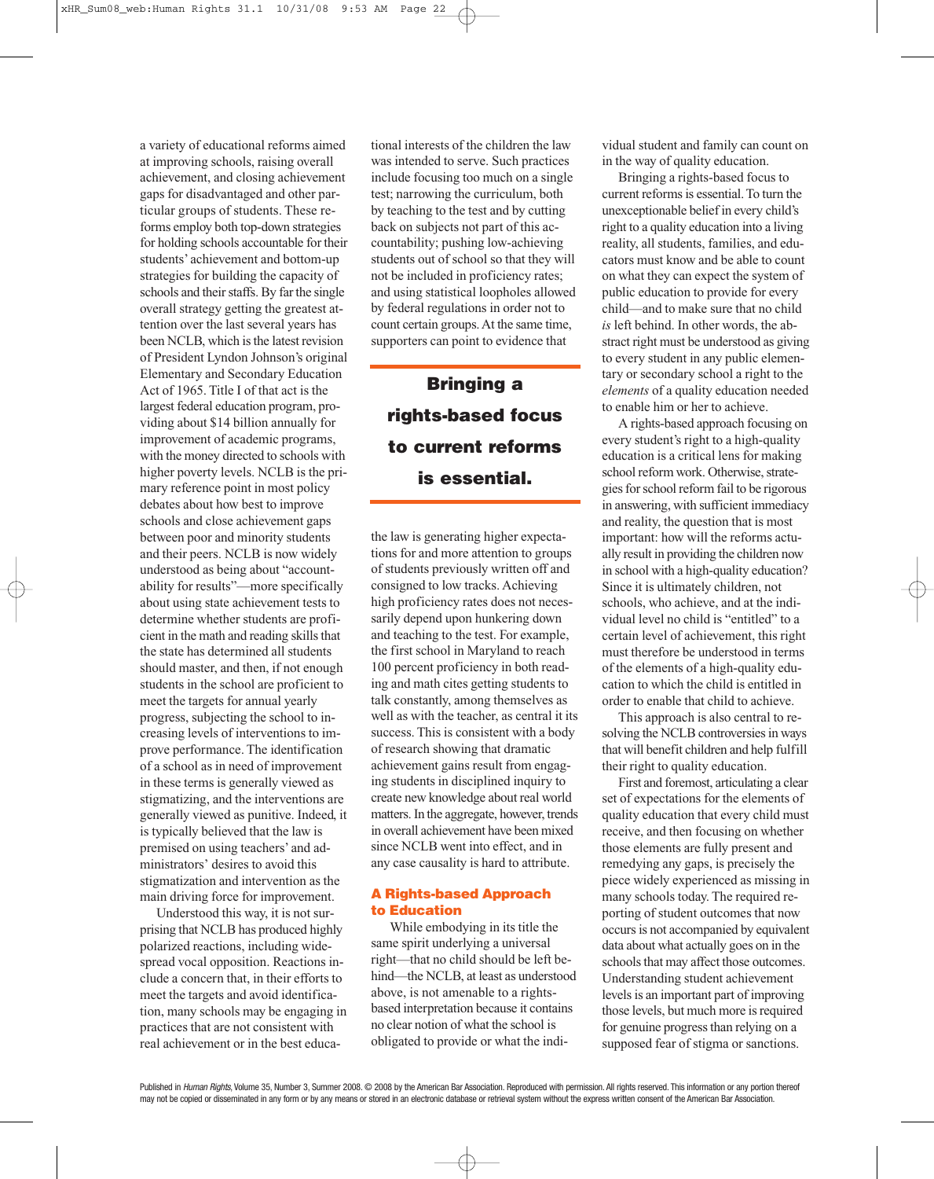a variety of educational reforms aimed at improving schools, raising overall achievement, and closing achievement gaps for disadvantaged and other particular groups of students. These reforms employ both top-down strategies for holding schools accountable for their students' achievement and bottom-up strategies for building the capacity of schools and their staffs. By far the single overall strategy getting the greatest attention over the last several years has been NCLB, which is the latest revision of President Lyndon Johnson's original Elementary and Secondary Education Act of 1965. Title I of that act is the largest federal education program, providing about \$14 billion annually for improvement of academic programs, with the money directed to schools with higher poverty levels. NCLB is the primary reference point in most policy debates about how best to improve schools and close achievement gaps between poor and minority students and their peers. NCLB is now widely understood as being about "accountability for results"—more specifically about using state achievement tests to determine whether students are proficient in the math and reading skills that the state has determined all students should master, and then, if not enough students in the school are proficient to meet the targets for annual yearly progress, subjecting the school to increasing levels of interventions to improve performance. The identification of a school as in need of improvement in these terms is generally viewed as stigmatizing, and the interventions are generally viewed as punitive. Indeed, it is typically believed that the law is premised on using teachers' and administrators' desires to avoid this stigmatization and intervention as the main driving force for improvement.

Understood this way, it is not surprising that NCLB has produced highly polarized reactions, including widespread vocal opposition. Reactions include a concern that, in their efforts to meet the targets and avoid identification, many schools may be engaging in practices that are not consistent with real achievement or in the best educa-

tional interests of the children the law was intended to serve. Such practices include focusing too much on a single test; narrowing the curriculum, both by teaching to the test and by cutting back on subjects not part of this accountability; pushing low-achieving students out of school so that they will not be included in proficiency rates; and using statistical loopholes allowed by federal regulations in order not to count certain groups.At the same time, supporters can point to evidence that

## **Bringing a rights-based focus to current reforms is essential.**

the law is generating higher expectations for and more attention to groups of students previously written off and consigned to low tracks. Achieving high proficiency rates does not necessarily depend upon hunkering down and teaching to the test. For example, the first school in Maryland to reach 100 percent proficiency in both reading and math cites getting students to talk constantly, among themselves as well as with the teacher, as central it its success. This is consistent with a body of research showing that dramatic achievement gains result from engaging students in disciplined inquiry to create new knowledge about real world matters.In the aggregate, however, trends in overall achievement have been mixed since NCLB went into effect, and in any case causality is hard to attribute.

#### **A Rights-based Approach to Education**

While embodying in its title the same spirit underlying a universal right—that no child should be left behind—the NCLB, at least as understood above, is not amenable to a rightsbased interpretation because it contains no clear notion of what the school is obligated to provide or what the individual student and family can count on in the way of quality education.

Bringing a rights-based focus to current reforms is essential. To turn the unexceptionable belief in every child's right to a quality education into a living reality, all students, families, and educators must know and be able to count on what they can expect the system of public education to provide for every child—and to make sure that no child *is* left behind. In other words, the abstract right must be understood as giving to every student in any public elementary or secondary school a right to the *elements* of a quality education needed to enable him or her to achieve.

A rights-based approach focusing on every student's right to a high-quality education is a critical lens for making school reform work. Otherwise, strategies for school reform fail to be rigorous in answering, with sufficient immediacy and reality, the question that is most important: how will the reforms actually result in providing the children now in school with a high-quality education? Since it is ultimately children, not schools, who achieve, and at the individual level no child is "entitled" to a certain level of achievement, this right must therefore be understood in terms of the elements of a high-quality education to which the child is entitled in order to enable that child to achieve.

This approach is also central to resolving the NCLB controversies in ways that will benefit children and help fulfill their right to quality education.

First and foremost, articulating a clear set of expectations for the elements of quality education that every child must receive, and then focusing on whether those elements are fully present and remedying any gaps, is precisely the piece widely experienced as missing in many schools today. The required reporting of student outcomes that now occurs is not accompanied by equivalent data about what actually goes on in the schools that may affect those outcomes. Understanding student achievement levels is an important part of improving those levels, but much more is required for genuine progress than relying on a supposed fear of stigma or sanctions.